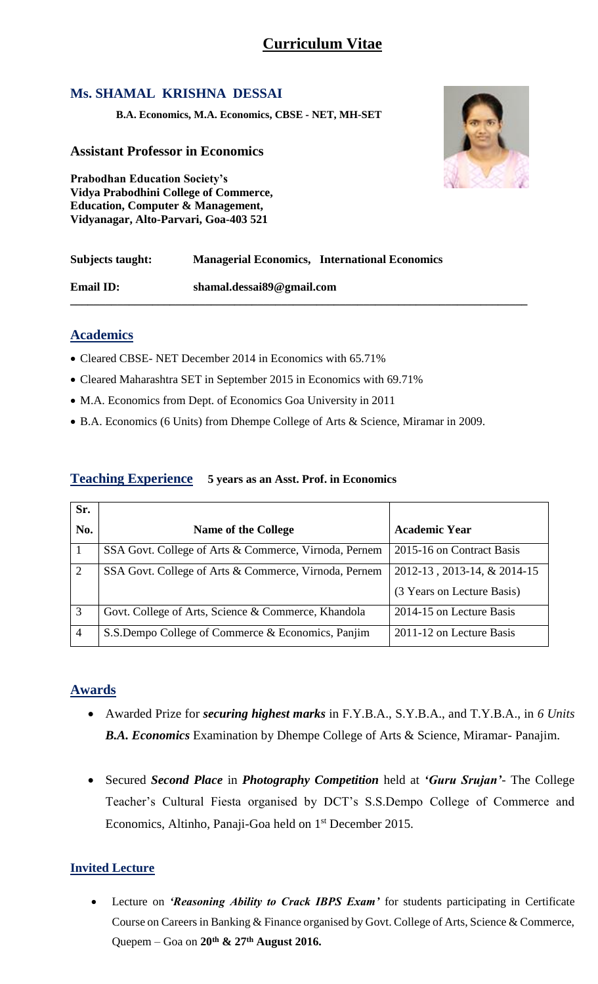# **Ms. SHAMAL KRISHNA DESSAI**

**B.A. Economics, M.A. Economics, CBSE - NET, MH-SET**

### **Assistant Professor in Economics**

**Prabodhan Education Society's Vidya Prabodhini College of Commerce, Education, Computer & Management, Vidyanagar, Alto-Parvari, Goa-403 521**

| Subjects taught: | <b>Managerial Economics, International Economics</b> |
|------------------|------------------------------------------------------|
| <b>Email ID:</b> | shamal.dessai89@gmail.com                            |

#### **Academics**

- Cleared CBSE- NET December 2014 in Economics with 65.71%
- Cleared Maharashtra SET in September 2015 in Economics with 69.71%
- M.A. Economics from Dept. of Economics Goa University in 2011
- B.A. Economics (6 Units) from Dhempe College of Arts & Science, Miramar in 2009.

#### **Teaching Experience 5 years as an Asst. Prof. in Economics**

| Sr.            |                                                       |                             |
|----------------|-------------------------------------------------------|-----------------------------|
| No.            | <b>Name of the College</b>                            | <b>Academic Year</b>        |
| - 1            | SSA Govt. College of Arts & Commerce, Virnoda, Pernem | 2015-16 on Contract Basis   |
| 2              | SSA Govt. College of Arts & Commerce, Virnoda, Pernem | 2012-13, 2013-14, & 2014-15 |
|                |                                                       | (3 Years on Lecture Basis)  |
| 3              | Govt. College of Arts, Science & Commerce, Khandola   | 2014-15 on Lecture Basis    |
| $\overline{4}$ | S.S.Dempo College of Commerce & Economics, Panjim     | 2011-12 on Lecture Basis    |

### **Awards**

- Awarded Prize for *securing highest marks* in F.Y.B.A., S.Y.B.A., and T.Y.B.A., in *6 Units B.A. Economics* Examination by Dhempe College of Arts & Science, Miramar- Panajim.
- Secured *Second Place* in *Photography Competition* held at *'Guru Srujan'-* The College Teacher's Cultural Fiesta organised by DCT's S.S.Dempo College of Commerce and Economics, Altinho, Panaji-Goa held on 1<sup>st</sup> December 2015.

### **Invited Lecture**

 Lecture on *'Reasoning Ability to Crack IBPS Exam'* for students participating in Certificate Course on Careers in Banking & Finance organised by Govt. College of Arts, Science & Commerce, Quepem – Goa on **20th & 27th August 2016.**

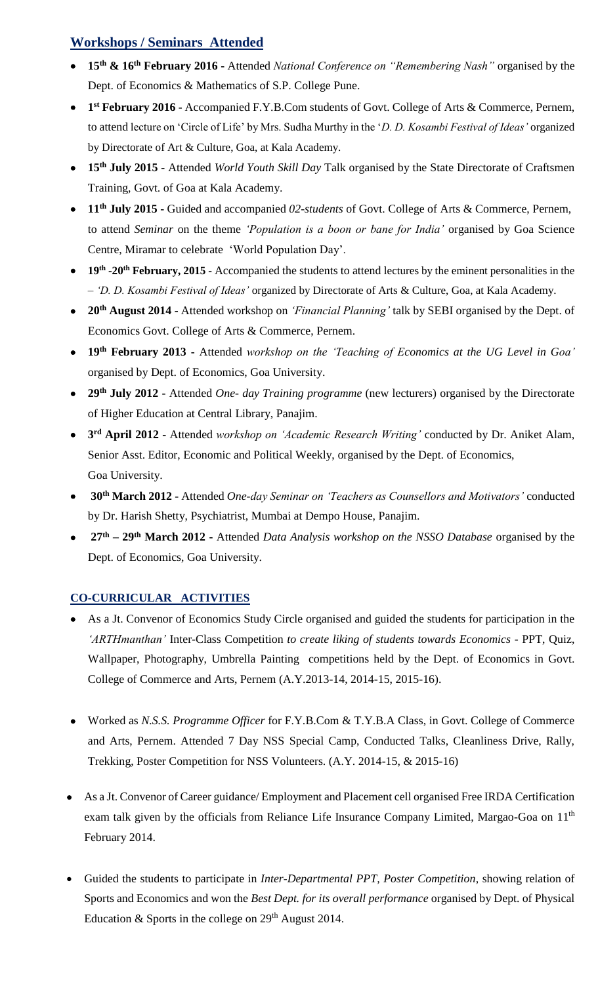## **Workshops / Seminars Attended**

- **15th & 16th February 2016 -** Attended *National Conference on "Remembering Nash"* organised by the Dept. of Economics & Mathematics of S.P. College Pune.
- **1 st February 2016 -** Accompanied F.Y.B.Com students of Govt. College of Arts & Commerce, Pernem, to attend lecture on 'Circle of Life' by Mrs. Sudha Murthy in the '*D. D. Kosambi Festival of Ideas'* organized by Directorate of Art & Culture, Goa, at Kala Academy.
- **15th July 2015 -** Attended *World Youth Skill Day* Talk organised by the State Directorate of Craftsmen Training, Govt. of Goa at Kala Academy.
- **11th July 2015 -** Guided and accompanied *02-students* of Govt. College of Arts & Commerce, Pernem, to attend *Seminar* on the theme *'Population is a boon or bane for India'* organised by Goa Science Centre, Miramar to celebrate 'World Population Day'.
- **19th -20th February, 2015 -** Accompanied the students to attend lectures by the eminent personalities in the – *'D. D. Kosambi Festival of Ideas'* organized by Directorate of Arts & Culture, Goa, at Kala Academy.
- **20th August 2014 -** Attended workshop on *'Financial Planning'* talk by SEBI organised by the Dept. of Economics Govt. College of Arts & Commerce, Pernem.
- **19th February 2013 -** Attended *workshop on the 'Teaching of Economics at the UG Level in Goa'* organised by Dept. of Economics, Goa University.
- **29th July 2012 -** Attended *One- day Training programme* (new lecturers) organised by the Directorate of Higher Education at Central Library, Panajim.
- **3 rd April 2012 -** Attended *workshop on 'Academic Research Writing'* conducted by Dr. Aniket Alam, Senior Asst. Editor, Economic and Political Weekly, organised by the Dept. of Economics, Goa University.
- **30th March 2012 -** Attended *One-day Seminar on 'Teachers as Counsellors and Motivators'* conducted by Dr. Harish Shetty, Psychiatrist, Mumbai at Dempo House, Panajim.
- **27th – 29th March 2012 -** Attended *Data Analysis workshop on the NSSO Database* organised by the Dept. of Economics, Goa University.

### **CO-CURRICULAR ACTIVITIES**

- As a Jt. Convenor of Economics Study Circle organised and guided the students for participation in the *'ARTHmanthan'* Inter-Class Competition *to create liking of students towards Economics* - PPT, Quiz, Wallpaper, Photography, Umbrella Painting competitions held by the Dept. of Economics in Govt. College of Commerce and Arts, Pernem (A.Y.2013-14, 2014-15, 2015-16).
- Worked as *N.S.S. Programme Officer* for F.Y.B.Com & T.Y.B.A Class, in Govt. College of Commerce and Arts, Pernem. Attended 7 Day NSS Special Camp, Conducted Talks, Cleanliness Drive, Rally, Trekking, Poster Competition for NSS Volunteers. (A.Y. 2014-15, & 2015-16)
- As a Jt. Convenor of Career guidance/ Employment and Placement cell organised Free IRDA Certification exam talk given by the officials from Reliance Life Insurance Company Limited, Margao-Goa on 11<sup>th</sup> February 2014.
- Guided the students to participate in *Inter-Departmental PPT, Poster Competition*, showing relation of Sports and Economics and won the *Best Dept. for its overall performance* organised by Dept. of Physical Education  $&$  Sports in the college on  $29<sup>th</sup>$  August 2014.